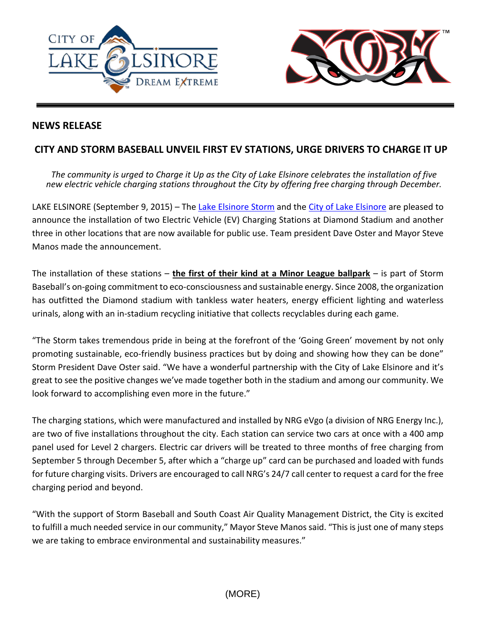



## **NEWS RELEASE**

## **CITY AND STORM BASEBALL UNVEIL FIRST EV STATIONS, URGE DRIVERS TO CHARGE IT UP**

*The community is urged to Charge it Up as the City of Lake Elsinore celebrates the installation of five new electric vehicle charging stations throughout the City by offering free charging through December.*

LAKE ELSINORE (September 9, 2015) – The [Lake Elsinore Storm](http://www.stormbaseball.com/) and the [City of Lake Elsinore](http://www.lake-elsinore.org/) are pleased to announce the installation of two Electric Vehicle (EV) Charging Stations at Diamond Stadium and another three in other locations that are now available for public use. Team president Dave Oster and Mayor Steve Manos made the announcement.

The installation of these stations – **the first of their kind at a Minor League ballpark** – is part of Storm Baseball's on-going commitment to eco-consciousness and sustainable energy. Since 2008, the organization has outfitted the Diamond stadium with tankless water heaters, energy efficient lighting and waterless urinals, along with an in-stadium recycling initiative that collects recyclables during each game.

"The Storm takes tremendous pride in being at the forefront of the 'Going Green' movement by not only promoting sustainable, eco-friendly business practices but by doing and showing how they can be done" Storm President Dave Oster said. "We have a wonderful partnership with the City of Lake Elsinore and it's great to see the positive changes we've made together both in the stadium and among our community. We look forward to accomplishing even more in the future."

The charging stations, which were manufactured and installed by NRG eVgo (a division of NRG Energy Inc.), are two of five installations throughout the city. Each station can service two cars at once with a 400 amp panel used for Level 2 chargers. Electric car drivers will be treated to three months of free charging from September 5 through December 5, after which a "charge up" card can be purchased and loaded with funds for future charging visits. Drivers are encouraged to call NRG's 24/7 call center to request a card for the free charging period and beyond.

"With the support of Storm Baseball and South Coast Air Quality Management District, the City is excited to fulfill a much needed service in our community," Mayor Steve Manos said. "This is just one of many steps we are taking to embrace environmental and sustainability measures."

(MORE)